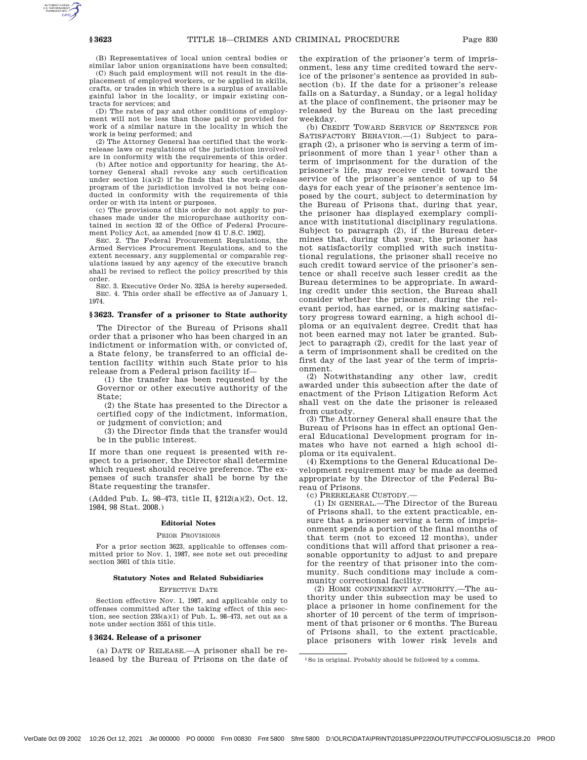(B) Representatives of local union central bodies or similar labor union organizations have been consulted;

(C) Such paid employment will not result in the displacement of employed workers, or be applied in skills, crafts, or trades in which there is a surplus of available gainful labor in the locality, or impair existing contracts for services; and

(D) The rates of pay and other conditions of employment will not be less than those paid or provided for work of a similar nature in the locality in which the work is being performed; and

(2) The Attorney General has certified that the workrelease laws or regulations of the jurisdiction involved are in conformity with the requirements of this order.

(b) After notice and opportunity for hearing, the Attorney General shall revoke any such certification under section  $1(a)(2)$  if he finds that the work-release program of the jurisdiction involved is not being conducted in conformity with the requirements of this order or with its intent or purposes.

(c) The provisions of this order do not apply to purchases made under the micropurchase authority contained in section 32 of the Office of Federal Procurement Policy Act, as amended [now 41 U.S.C. 1902].

SEC. 2. The Federal Procurement Regulations, the Armed Services Procurement Regulations, and to the extent necessary, any supplemental or comparable regulations issued by any agency of the executive branch shall be revised to reflect the policy prescribed by this order.

SEC. 3. Executive Order No. 325A is hereby superseded. SEC. 4. This order shall be effective as of January 1, 1974.

## **§ 3623. Transfer of a prisoner to State authority**

The Director of the Bureau of Prisons shall order that a prisoner who has been charged in an indictment or information with, or convicted of, a State felony, be transferred to an official detention facility within such State prior to his release from a Federal prison facility if—

(1) the transfer has been requested by the Governor or other executive authority of the State;

(2) the State has presented to the Director a certified copy of the indictment, information, or judgment of conviction; and

(3) the Director finds that the transfer would be in the public interest.

If more than one request is presented with respect to a prisoner, the Director shall determine which request should receive preference. The expenses of such transfer shall be borne by the State requesting the transfer.

(Added Pub. L. 98–473, title II, §212(a)(2), Oct. 12, 1984, 98 Stat. 2008.)

#### **Editorial Notes**

# PRIOR PROVISIONS

For a prior section 3623, applicable to offenses committed prior to Nov. 1, 1987, see note set out preceding section 3601 of this title.

#### **Statutory Notes and Related Subsidiaries**

#### EFFECTIVE DATE

Section effective Nov. 1, 1987, and applicable only to offenses committed after the taking effect of this section, see section 235(a)(1) of Pub. L. 98–473, set out as a note under section 3551 of this title.

## **§ 3624. Release of a prisoner**

(a) DATE OF RELEASE.—A prisoner shall be released by the Bureau of Prisons on the date of the expiration of the prisoner's term of imprisonment, less any time credited toward the service of the prisoner's sentence as provided in subsection (b). If the date for a prisoner's release falls on a Saturday, a Sunday, or a legal holiday at the place of confinement, the prisoner may be released by the Bureau on the last preceding weekday.

(b) CREDIT TOWARD SERVICE OF SENTENCE FOR SATISFACTORY BEHAVIOR.—(1) Subject to paragraph (2), a prisoner who is serving a term of imprisonment of more than  $1$  year<sup>1</sup> other than a term of imprisonment for the duration of the prisoner's life, may receive credit toward the service of the prisoner's sentence of up to 54 days for each year of the prisoner's sentence imposed by the court, subject to determination by the Bureau of Prisons that, during that year, the prisoner has displayed exemplary compliance with institutional disciplinary regulations. Subject to paragraph (2), if the Bureau determines that, during that year, the prisoner has not satisfactorily complied with such institutional regulations, the prisoner shall receive no such credit toward service of the prisoner's sentence or shall receive such lesser credit as the Bureau determines to be appropriate. In awarding credit under this section, the Bureau shall consider whether the prisoner, during the relevant period, has earned, or is making satisfactory progress toward earning, a high school diploma or an equivalent degree. Credit that has not been earned may not later be granted. Subject to paragraph (2), credit for the last year of a term of imprisonment shall be credited on the first day of the last year of the term of imprisonment.

(2) Notwithstanding any other law, credit awarded under this subsection after the date of enactment of the Prison Litigation Reform Act shall vest on the date the prisoner is released from custody.

(3) The Attorney General shall ensure that the Bureau of Prisons has in effect an optional General Educational Development program for inmates who have not earned a high school diploma or its equivalent.

(4) Exemptions to the General Educational Development requirement may be made as deemed appropriate by the Director of the Federal Bureau of Prisons.

(c) PRERELEASE CUSTODY.—

(1) IN GENERAL.—The Director of the Bureau of Prisons shall, to the extent practicable, ensure that a prisoner serving a term of imprisonment spends a portion of the final months of that term (not to exceed 12 months), under conditions that will afford that prisoner a reasonable opportunity to adjust to and prepare for the reentry of that prisoner into the community. Such conditions may include a community correctional facility.

(2) HOME CONFINEMENT AUTHORITY.—The authority under this subsection may be used to place a prisoner in home confinement for the shorter of 10 percent of the term of imprisonment of that prisoner or 6 months. The Bureau of Prisons shall, to the extent practicable, place prisoners with lower risk levels and

<sup>1</sup>So in original. Probably should be followed by a comma.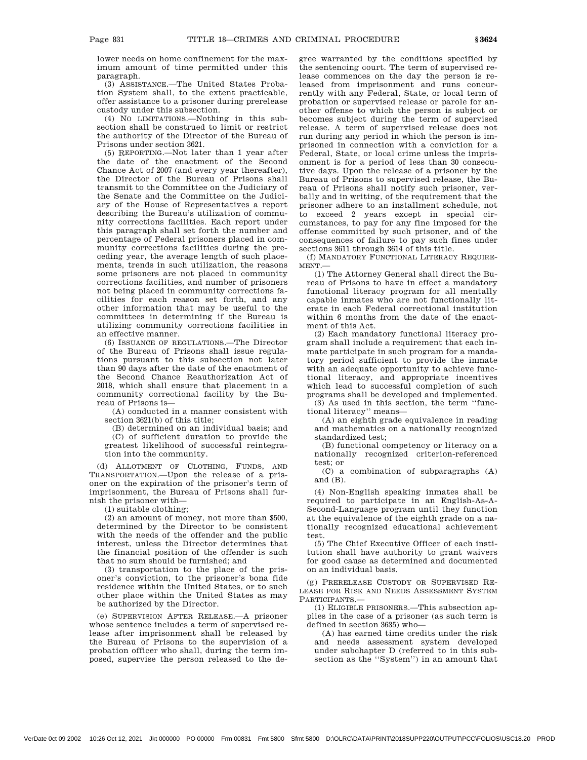lower needs on home confinement for the maximum amount of time permitted under this paragraph.

(3) ASSISTANCE.—The United States Probation System shall, to the extent practicable, offer assistance to a prisoner during prerelease custody under this subsection.

(4) NO LIMITATIONS.—Nothing in this subsection shall be construed to limit or restrict the authority of the Director of the Bureau of Prisons under section 3621.

(5) REPORTING.—Not later than 1 year after the date of the enactment of the Second Chance Act of 2007 (and every year thereafter), the Director of the Bureau of Prisons shall transmit to the Committee on the Judiciary of the Senate and the Committee on the Judiciary of the House of Representatives a report describing the Bureau's utilization of community corrections facilities. Each report under this paragraph shall set forth the number and percentage of Federal prisoners placed in community corrections facilities during the preceding year, the average length of such placements, trends in such utilization, the reasons some prisoners are not placed in community corrections facilities, and number of prisoners not being placed in community corrections facilities for each reason set forth, and any other information that may be useful to the committees in determining if the Bureau is utilizing community corrections facilities in an effective manner.

(6) ISSUANCE OF REGULATIONS.—The Director of the Bureau of Prisons shall issue regulations pursuant to this subsection not later than 90 days after the date of the enactment of the Second Chance Reauthorization Act of 2018, which shall ensure that placement in a community correctional facility by the Bureau of Prisons is—

(A) conducted in a manner consistent with section 3621(b) of this title;

(B) determined on an individual basis; and (C) of sufficient duration to provide the greatest likelihood of successful reintegration into the community.

(d) ALLOTMENT OF CLOTHING, FUNDS, AND TRANSPORTATION.—Upon the release of a prisoner on the expiration of the prisoner's term of imprisonment, the Bureau of Prisons shall furnish the prisoner with—

(1) suitable clothing;

(2) an amount of money, not more than \$500, determined by the Director to be consistent with the needs of the offender and the public interest, unless the Director determines that the financial position of the offender is such that no sum should be furnished; and

(3) transportation to the place of the prisoner's conviction, to the prisoner's bona fide residence within the United States, or to such other place within the United States as may be authorized by the Director.

(e) SUPERVISION AFTER RELEASE.—A prisoner whose sentence includes a term of supervised release after imprisonment shall be released by the Bureau of Prisons to the supervision of a probation officer who shall, during the term imposed, supervise the person released to the degree warranted by the conditions specified by the sentencing court. The term of supervised release commences on the day the person is released from imprisonment and runs concurrently with any Federal, State, or local term of probation or supervised release or parole for another offense to which the person is subject or becomes subject during the term of supervised release. A term of supervised release does not run during any period in which the person is imprisoned in connection with a conviction for a Federal, State, or local crime unless the imprisonment is for a period of less than 30 consecutive days. Upon the release of a prisoner by the Bureau of Prisons to supervised release, the Bureau of Prisons shall notify such prisoner, verbally and in writing, of the requirement that the prisoner adhere to an installment schedule, not to exceed 2 years except in special circumstances, to pay for any fine imposed for the offense committed by such prisoner, and of the consequences of failure to pay such fines under sections 3611 through 3614 of this title.

(f) MANDATORY FUNCTIONAL LITERACY REQUIRE-MENT.—

(1) The Attorney General shall direct the Bureau of Prisons to have in effect a mandatory functional literacy program for all mentally capable inmates who are not functionally literate in each Federal correctional institution within 6 months from the date of the enactment of this Act.

(2) Each mandatory functional literacy program shall include a requirement that each inmate participate in such program for a mandatory period sufficient to provide the inmate with an adequate opportunity to achieve functional literacy, and appropriate incentives which lead to successful completion of such programs shall be developed and implemented. (3) As used in this section, the term ''func-

tional literacy'' means—

(A) an eighth grade equivalence in reading and mathematics on a nationally recognized standardized test;

(B) functional competency or literacy on a nationally recognized criterion-referenced test; or

(C) a combination of subparagraphs (A) and (B).

(4) Non-English speaking inmates shall be required to participate in an English-As-A-Second-Language program until they function at the equivalence of the eighth grade on a nationally recognized educational achievement test.

(5) The Chief Executive Officer of each institution shall have authority to grant waivers for good cause as determined and documented on an individual basis.

(g) PRERELEASE CUSTODY OR SUPERVISED RE-LEASE FOR RISK AND NEEDS ASSESSMENT SYSTEM PARTICIPANTS.—

(1) ELIGIBLE PRISONERS.—This subsection applies in the case of a prisoner (as such term is defined in section 3635) who—

(A) has earned time credits under the risk and needs assessment system developed under subchapter D (referred to in this subsection as the ''System'') in an amount that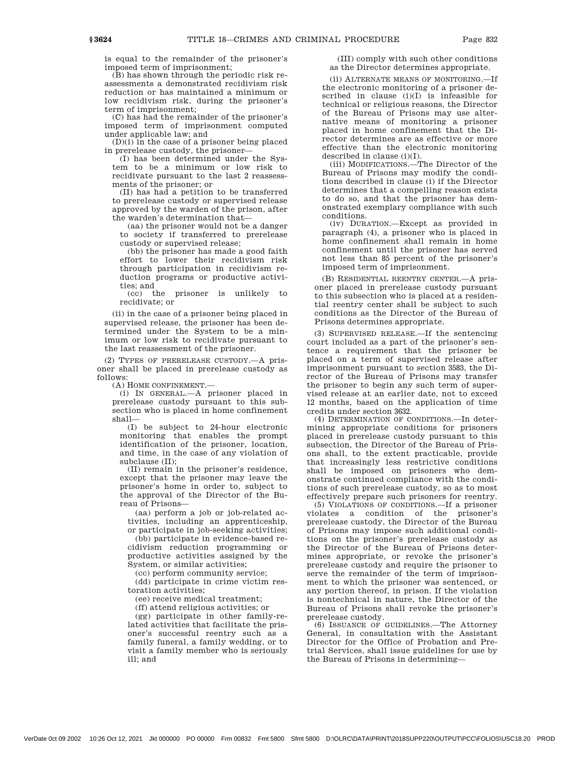is equal to the remainder of the prisoner's imposed term of imprisonment;

(B) has shown through the periodic risk reassessments a demonstrated recidivism risk reduction or has maintained a minimum or low recidivism risk, during the prisoner's term of imprisonment;

(C) has had the remainder of the prisoner's imposed term of imprisonment computed under applicable law; and

 $(D)(i)$  in the case of a prisoner being placed in prerelease custody, the prisoner—

(I) has been determined under the System to be a minimum or low risk to recidivate pursuant to the last 2 reassessments of the prisoner; or

(II) has had a petition to be transferred to prerelease custody or supervised release approved by the warden of the prison, after the warden's determination that—

(aa) the prisoner would not be a danger to society if transferred to prerelease custody or supervised release;

(bb) the prisoner has made a good faith effort to lower their recidivism risk through participation in recidivism reduction programs or productive activities; and

(cc) the prisoner is unlikely to recidivate; or

(ii) in the case of a prisoner being placed in supervised release, the prisoner has been determined under the System to be a minimum or low risk to recidivate pursuant to the last reassessment of the prisoner.

(2) TYPES OF PRERELEASE CUSTODY.—A prisoner shall be placed in prerelease custody as follows:

(A) HOME CONFINEMENT.—

(i) IN GENERAL.—A prisoner placed in prerelease custody pursuant to this subsection who is placed in home confinement shall—

(I) be subject to 24-hour electronic monitoring that enables the prompt identification of the prisoner, location, and time, in the case of any violation of subclause (II);

(II) remain in the prisoner's residence, except that the prisoner may leave the prisoner's home in order to, subject to the approval of the Director of the Bureau of Prisons—

(aa) perform a job or job-related activities, including an apprenticeship, or participate in job-seeking activities;

(bb) participate in evidence-based recidivism reduction programming or productive activities assigned by the System, or similar activities;

(cc) perform community service;

(dd) participate in crime victim restoration activities;

(ee) receive medical treatment;

(ff) attend religious activities; or

(gg) participate in other family-related activities that facilitate the prisoner's successful reentry such as a family funeral, a family wedding, or to visit a family member who is seriously ill; and

(III) comply with such other conditions as the Director determines appropriate.

(ii) ALTERNATE MEANS OF MONITORING.—If the electronic monitoring of a prisoner described in clause (i)(I) is infeasible for technical or religious reasons, the Director of the Bureau of Prisons may use alternative means of monitoring a prisoner placed in home confinement that the Director determines are as effective or more effective than the electronic monitoring described in clause  $(i)(I)$ .

(iii) MODIFICATIONS.—The Director of the Bureau of Prisons may modify the conditions described in clause (i) if the Director determines that a compelling reason exists to do so, and that the prisoner has demonstrated exemplary compliance with such conditions.

(iv) DURATION.—Except as provided in paragraph (4), a prisoner who is placed in home confinement shall remain in home confinement until the prisoner has served not less than 85 percent of the prisoner's imposed term of imprisonment.

(B) RESIDENTIAL REENTRY CENTER.—A prisoner placed in prerelease custody pursuant to this subsection who is placed at a residential reentry center shall be subject to such conditions as the Director of the Bureau of Prisons determines appropriate.

(3) SUPERVISED RELEASE.—If the sentencing court included as a part of the prisoner's sentence a requirement that the prisoner be placed on a term of supervised release after imprisonment pursuant to section 3583, the Director of the Bureau of Prisons may transfer the prisoner to begin any such term of supervised release at an earlier date, not to exceed 12 months, based on the application of time credits under section 3632.

(4) DETERMINATION OF CONDITIONS.—In determining appropriate conditions for prisoners placed in prerelease custody pursuant to this subsection, the Director of the Bureau of Prisons shall, to the extent practicable, provide that increasingly less restrictive conditions shall be imposed on prisoners who demonstrate continued compliance with the conditions of such prerelease custody, so as to most effectively prepare such prisoners for reentry.

(5) VIOLATIONS OF CONDITIONS.—If a prisoner violates a condition of the prisoner's prerelease custody, the Director of the Bureau of Prisons may impose such additional conditions on the prisoner's prerelease custody as the Director of the Bureau of Prisons determines appropriate, or revoke the prisoner's prerelease custody and require the prisoner to serve the remainder of the term of imprisonment to which the prisoner was sentenced, or any portion thereof, in prison. If the violation is nontechnical in nature, the Director of the Bureau of Prisons shall revoke the prisoner's prerelease custody.

(6) ISSUANCE OF GUIDELINES.—The Attorney General, in consultation with the Assistant Director for the Office of Probation and Pretrial Services, shall issue guidelines for use by the Bureau of Prisons in determining—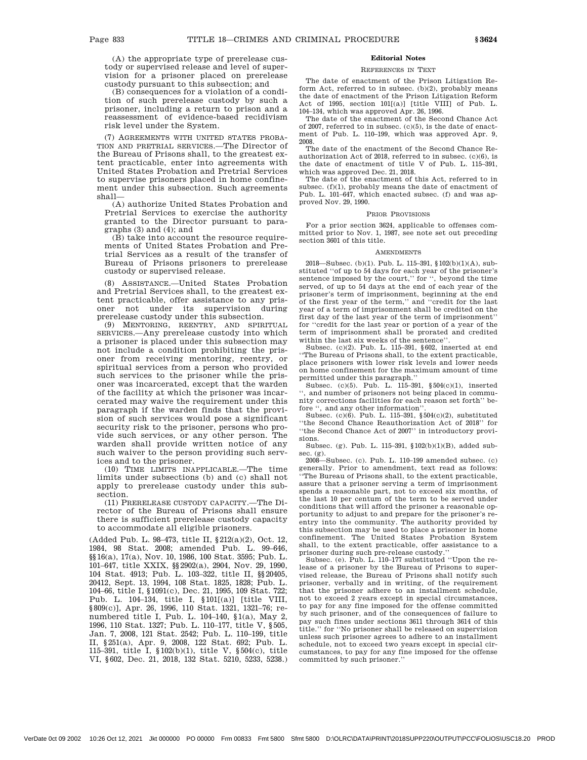(A) the appropriate type of prerelease custody or supervised release and level of supervision for a prisoner placed on prerelease custody pursuant to this subsection; and

(B) consequences for a violation of a condition of such prerelease custody by such a prisoner, including a return to prison and a reassessment of evidence-based recidivism risk level under the System.

(7) AGREEMENTS WITH UNITED STATES PROBA-TION AND PRETRIAL SERVICES.—The Director of the Bureau of Prisons shall, to the greatest extent practicable, enter into agreements with United States Probation and Pretrial Services to supervise prisoners placed in home confinement under this subsection. Such agreements shall—

(A) authorize United States Probation and Pretrial Services to exercise the authority granted to the Director pursuant to paragraphs (3) and (4); and

(B) take into account the resource requirements of United States Probation and Pretrial Services as a result of the transfer of Bureau of Prisons prisoners to prerelease custody or supervised release.

(8) ASSISTANCE.—United States Probation and Pretrial Services shall, to the greatest extent practicable, offer assistance to any prisoner not under its supervision during prerelease custody under this subsection.

(9) MENTORING, REENTRY, AND SPIRITUAL SERVICES.—Any prerelease custody into which a prisoner is placed under this subsection may not include a condition prohibiting the prisoner from receiving mentoring, reentry, or spiritual services from a person who provided such services to the prisoner while the prisoner was incarcerated, except that the warden of the facility at which the prisoner was incarcerated may waive the requirement under this paragraph if the warden finds that the provision of such services would pose a significant security risk to the prisoner, persons who provide such services, or any other person. The warden shall provide written notice of any such waiver to the person providing such services and to the prisoner.

(10) TIME LIMITS INAPPLICABLE.—The time limits under subsections (b) and (c) shall not apply to prerelease custody under this subsection.

(11) PRERELEASE CUSTODY CAPACITY.—The Director of the Bureau of Prisons shall ensure there is sufficient prerelease custody capacity to accommodate all eligible prisoners.

(Added Pub. L. 98–473, title II, §212(a)(2), Oct. 12, 1984, 98 Stat. 2008; amended Pub. L. 99–646, §§16(a), 17(a), Nov. 10, 1986, 100 Stat. 3595; Pub. L. 101–647, title XXIX, §§2902(a), 2904, Nov. 29, 1990, 104 Stat. 4913; Pub. L. 103–322, title II, §§20405, 20412, Sept. 13, 1994, 108 Stat. 1825, 1828; Pub. L. 104–66, title I, §1091(c), Dec. 21, 1995, 109 Stat. 722; Pub. L. 104–134, title I, §101[(a)] [title VIII, §809(c)], Apr. 26, 1996, 110 Stat. 1321, 1321-76; renumbered title I, Pub. L. 104–140, §1(a), May 2, 1996, 110 Stat. 1327; Pub. L. 110–177, title V, §505, Jan. 7, 2008, 121 Stat. 2542; Pub. L. 110–199, title II, §251(a), Apr. 9, 2008, 122 Stat. 692; Pub. L. 115–391, title I, §102(b)(1), title V, §504(c), title VI, §602, Dec. 21, 2018, 132 Stat. 5210, 5233, 5238.)

#### **Editorial Notes**

### REFERENCES IN TEXT

The date of enactment of the Prison Litigation Reform Act, referred to in subsec. (b)(2), probably means the date of enactment of the Prison Litigation Reform Act of 1995, section 101[(a)] [title VIII] of Pub. L. 104–134, which was approved Apr. 26, 1996.

The date of the enactment of the Second Chance Act of 2007, referred to in subsec. (c)(5), is the date of enactment of Pub. L. 110–199, which was approved Apr. 9, 2008.

The date of the enactment of the Second Chance Reauthorization Act of 2018, referred to in subsec. (c)(6), is the date of enactment of title V of Pub. L. 115–391, which was approved Dec. 21, 2018.

The date of the enactment of this Act, referred to in subsec. (f)(1), probably means the date of enactment of Pub. L. 101–647, which enacted subsec. (f) and was approved Nov. 29, 1990.

### PRIOR PROVISIONS

For a prior section 3624, applicable to offenses committed prior to Nov. 1, 1987, see note set out preceding section 3601 of this title.

### **AMENDMENTS**

2018—Subsec. (b)(1). Pub. L. 115–391, §102(b)(1)(A), substituted ''of up to 54 days for each year of the prisoner's sentence imposed by the court," for ", beyond the time served, of up to 54 days at the end of each year of the prisoner's term of imprisonment, beginning at the end of the first year of the term,'' and ''credit for the last year of a term of imprisonment shall be credited on the first day of the last year of the term of imprisonment'' for ''credit for the last year or portion of a year of the term of imprisonment shall be prorated and credited within the last six weeks of the sentence''.

Subsec. (c)(2). Pub. L. 115–391, §602, inserted at end ''The Bureau of Prisons shall, to the extent practicable, place prisoners with lower risk levels and lower needs on home confinement for the maximum amount of time permitted under this paragraph.''

Subsec. (c)(5). Pub. L. 115–391, §504(c)(1), inserted ", and number of prisoners not being placed in community corrections facilities for each reason set forth'' before ", and any other information"

Subsec. (c)(6). Pub. L. 115–391, §504(c)(2), substituted ''the Second Chance Reauthorization Act of 2018'' for ''the Second Chance Act of 2007'' in introductory provisions.

Subsec. (g). Pub. L. 115–391, §102(b)(1)(B), added subsec.  $(g)$ .

2008—Subsec. (c). Pub. L. 110–199 amended subsec. (c) generally. Prior to amendment, text read as follows: ''The Bureau of Prisons shall, to the extent practicable, assure that a prisoner serving a term of imprisonment spends a reasonable part, not to exceed six months, of the last 10 per centum of the term to be served under conditions that will afford the prisoner a reasonable opportunity to adjust to and prepare for the prisoner's reentry into the community. The authority provided by this subsection may be used to place a prisoner in home confinement. The United States Probation System shall, to the extent practicable, offer assistance to a prisoner during such pre-release custody.

Subsec. (e). Pub. L. 110–177 substituted ''Upon the release of a prisoner by the Bureau of Prisons to supervised release, the Bureau of Prisons shall notify such prisoner, verbally and in writing, of the requirement that the prisoner adhere to an installment schedule, not to exceed 2 years except in special circumstances, to pay for any fine imposed for the offense committed by such prisoner, and of the consequences of failure to pay such fines under sections 3611 through 3614 of this title.'' for ''No prisoner shall be released on supervision unless such prisoner agrees to adhere to an installment schedule, not to exceed two years except in special circumstances, to pay for any fine imposed for the offense committed by such prisoner.''